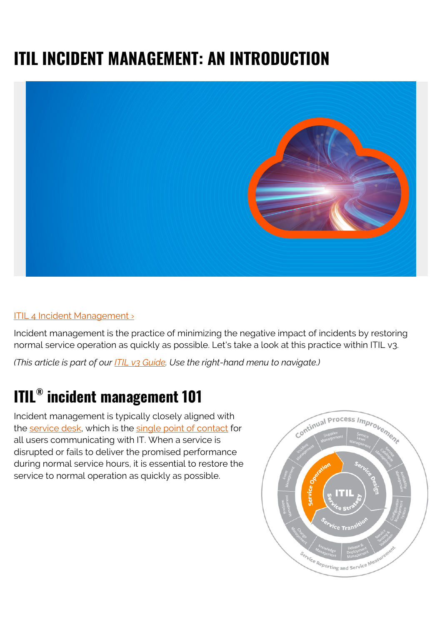# **ITIL INCIDENT MANAGEMENT: AN INTRODUCTION**



#### [ITIL 4 Incident Management ›](https://www.bmc.com/blogs/itil-incident-management/)

Incident management is the practice of minimizing the negative impact of incidents by restoring normal service operation as quickly as possible. Let's take a look at this practice within ITIL v3.

*(This article is part of our [ITIL v3 Guide](https://blogs.bmc.com/blogs/itil-v3-introduction/). Use the right-hand menu to navigate.)*

# **ITIL® incident management 101**

Incident management is typically closely aligned with the [service desk](https://blogs.bmc.com/blogs/help-desk-vs-service-desk-whats-difference/), which is the [single point of contact](https://blogs.bmc.com/blogs/spoc-single-point-of-contact/) for all users communicating with IT. When a service is disrupted or fails to deliver the promised performance during normal service hours, it is essential to restore the service to normal operation as quickly as possible.

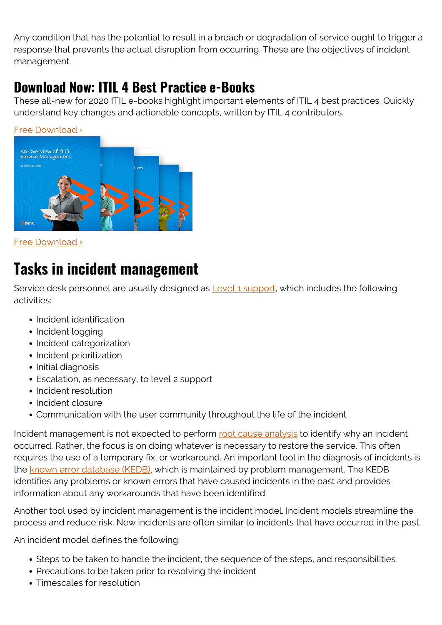Any condition that has the potential to result in a breach or degradation of service ought to trigger a response that prevents the actual disruption from occurring. These are the objectives of incident management.

#### **Download Now: ITIL 4 Best Practice e-Books**

These all-new for 2020 ITIL e-books highlight important elements of ITIL 4 best practices. Quickly understand key changes and actionable concepts, written by ITIL 4 contributors.



[Free Download ›](https://www.bmc.com/forms/itil-free-ebook.html)

## **Tasks in incident management**

Service desk personnel are usually designed as [Level 1 support,](https://blogs.bmc.com/blogs/support-levels-level-1-level-2-level-3/) which includes the following activities:

- Incident identification
- Incident logging
- Incident categorization
- Incident prioritization
- Initial diagnosis
- Escalation, as necessary, to level 2 support
- Incident resolution
- Incident closure
- Communication with the user community throughout the life of the incident

Incident management is not expected to perform [root cause analysis](https://blogs.bmc.com/blogs/root-cause-analysis/) to identify why an incident occurred. Rather, the focus is on doing whatever is necessary to restore the service. This often requires the use of a temporary fix, or workaround. An important tool in the diagnosis of incidents is the [known error database \(KEDB\),](https://blogs.bmc.com/blogs/known-error-database-an-introduction-to-kedbs/) which is maintained by problem management. The KEDB identifies any problems or known errors that have caused incidents in the past and provides information about any workarounds that have been identified.

Another tool used by incident management is the incident model. Incident models streamline the process and reduce risk. New incidents are often similar to incidents that have occurred in the past.

An incident model defines the following:

- Steps to be taken to handle the incident, the sequence of the steps, and responsibilities
- Precautions to be taken prior to resolving the incident
- Timescales for resolution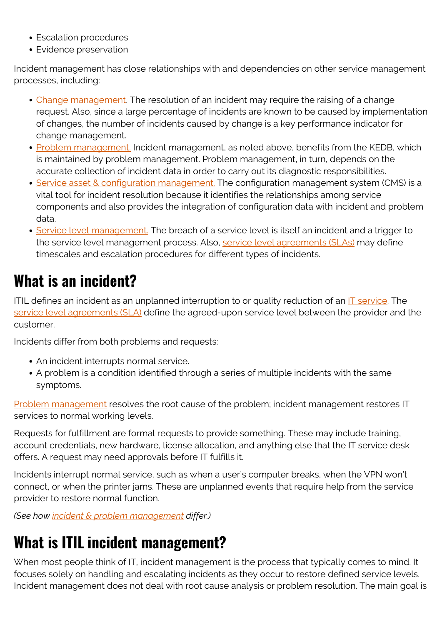- Escalation procedures
- Evidence preservation

Incident management has close relationships with and dependencies on other service management processes, including:

- [Change management.](https://blogs.bmc.com/blogs/itil-change-management/) The resolution of an incident may require the raising of a change request. Also, since a large percentage of incidents are known to be caused by implementation of changes, the number of incidents caused by change is a key performance indicator for change management.
- [Problem management.](https://blogs.bmc.com/blogs/itil-v3-problem-management/) Incident management, as noted above, benefits from the KEDB, which is maintained by problem management. Problem management, in turn, depends on the accurate collection of incident data in order to carry out its diagnostic responsibilities.
- [Service asset & configuration management.](https://blogs.bmc.com/blogs/itil-asset-configuration-management/) The configuration management system (CMS) is a vital tool for incident resolution because it identifies the relationships among service components and also provides the integration of configuration data with incident and problem data.
- [Service level management.](https://blogs.bmc.com/blogs/itil-service-level-management/) The breach of a service level is itself an incident and a trigger to the service level management process. Also, [service level agreements \(SLAs\)](https://blogs.bmc.com/blogs/sla-template-examples/) may define timescales and escalation procedures for different types of incidents.

# **What is an incident?**

ITIL defines an incident as an unplanned interruption to or quality reduction of an  $\Gamma$  service. The [service level agreements \(SLA\)](https://blogs.bmc.com/blogs/sla-template-examples/) define the agreed-upon service level between the provider and the customer.

Incidents differ from both problems and requests:

- An incident interrupts normal service.
- A problem is a condition identified through a series of multiple incidents with the same symptoms.

[Problem management](https://blogs.bmc.com/blogs/itil-problem-management/) resolves the root cause of the problem; incident management restores IT services to normal working levels.

Requests for fulfillment are formal requests to provide something. These may include training, account credentials, new hardware, license allocation, and anything else that the IT service desk offers. A request may need approvals before IT fulfills it.

Incidents interrupt normal service, such as when a user's computer breaks, when the VPN won't connect, or when the printer jams. These are unplanned events that require help from the service provider to restore normal function.

*(See how [incident & problem management](https://blogs.bmc.com/blogs/incident-management-vs-problem-management-whats-the-difference/) differ.)*

# **What is ITIL incident management?**

When most people think of IT, incident management is the process that typically comes to mind. It focuses solely on handling and escalating incidents as they occur to restore defined service levels. Incident management does not deal with root cause analysis or problem resolution. The main goal is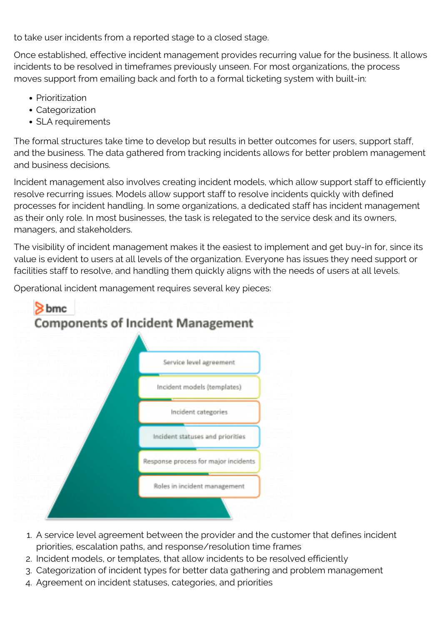to take user incidents from a reported stage to a closed stage.

Once established, effective incident management provides recurring value for the business. It allows incidents to be resolved in timeframes previously unseen. For most organizations, the process moves support from emailing back and forth to a formal ticketing system with built-in:

- Prioritization
- Categorization
- SLA requirements

The formal structures take time to develop but results in better outcomes for users, support staff, and the business. The data gathered from tracking incidents allows for better problem management and business decisions.

Incident management also involves creating incident models, which allow support staff to efficiently resolve recurring issues. Models allow support staff to resolve incidents quickly with defined processes for incident handling. In some organizations, a dedicated staff has incident management as their only role. In most businesses, the task is relegated to the service desk and its owners, managers, and stakeholders.

The visibility of incident management makes it the easiest to implement and get buy-in for, since its value is evident to users at all levels of the organization. Everyone has issues they need support or facilities staff to resolve, and handling them quickly aligns with the needs of users at all levels.

Operational incident management requires several key pieces:



- 1. A service level agreement between the provider and the customer that defines incident priorities, escalation paths, and response/resolution time frames
- 2. Incident models, or templates, that allow incidents to be resolved efficiently
- 3. Categorization of incident types for better data gathering and problem management
- 4. Agreement on incident statuses, categories, and priorities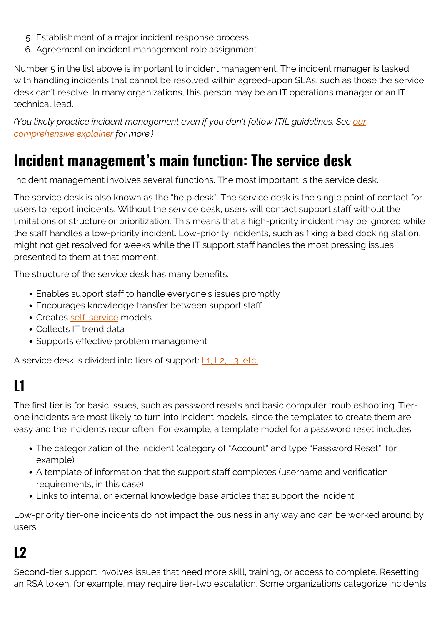- 5. Establishment of a major incident response process
- 6. Agreement on incident management role assignment

Number 5 in the list above is important to incident management. The incident manager is tasked with handling incidents that cannot be resolved within agreed-upon SLAs, such as those the service desk can't resolve. In many organizations, this person may be an IT operations manager or an IT technical lead.

*(You likely practice incident management even if you don't follow ITIL guidelines. See [our](https://blogs.bmc.com/blogs/incident-management/) [comprehensive explainer](https://blogs.bmc.com/blogs/incident-management/) for more.)*

# **Incident management's main function: The service desk**

Incident management involves several functions. The most important is the service desk.

The service desk is also known as the "help desk". The service desk is the single point of contact for users to report incidents. Without the service desk, users will contact support staff without the limitations of structure or prioritization. This means that a high-priority incident may be ignored while the staff handles a low-priority incident. Low-priority incidents, such as fixing a bad docking station, might not get resolved for weeks while the IT support staff handles the most pressing issues presented to them at that moment.

The structure of the service desk has many benefits:

- Enables support staff to handle everyone's issues promptly
- Encourages knowledge transfer between support staff
- Creates [self-service](https://blogs.bmc.com/blogs/it-self-service-portal/) models
- Collects IT trend data
- Supports effective problem management

A service desk is divided into tiers of support: [L1, L2, L3, etc.](https://blogs.bmc.com/blogs/support-levels-level-1-level-2-level-3/)

# **L1**

The first tier is for basic issues, such as password resets and basic computer troubleshooting. Tierone incidents are most likely to turn into incident models, since the templates to create them are easy and the incidents recur often. For example, a template model for a password reset includes:

- The categorization of the incident (category of "Account" and type "Password Reset", for example)
- A template of information that the support staff completes (username and verification requirements, in this case)
- Links to internal or external knowledge base articles that support the incident.

Low-priority tier-one incidents do not impact the business in any way and can be worked around by users.

#### **L2**

Second-tier support involves issues that need more skill, training, or access to complete. Resetting an RSA token, for example, may require tier-two escalation. Some organizations categorize incidents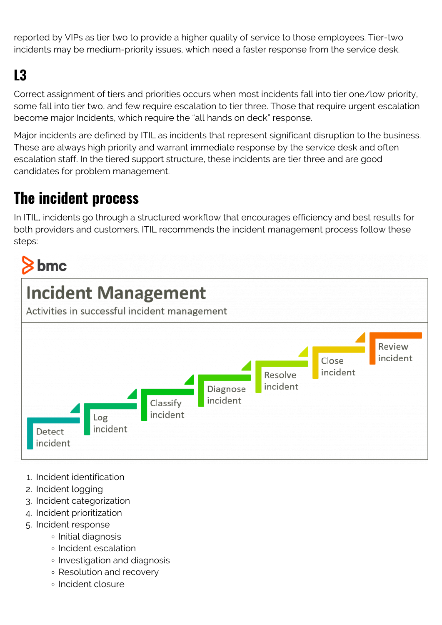reported by VIPs as tier two to provide a higher quality of service to those employees. Tier-two incidents may be medium-priority issues, which need a faster response from the service desk.

# **L3**

Correct assignment of tiers and priorities occurs when most incidents fall into tier one/low priority, some fall into tier two, and few require escalation to tier three. Those that require urgent escalation become major Incidents, which require the "all hands on deck" response.

Major incidents are defined by ITIL as incidents that represent significant disruption to the business. These are always high priority and warrant immediate response by the service desk and often escalation staff. In the tiered support structure, these incidents are tier three and are good candidates for problem management.

# **The incident process**

In ITIL, incidents go through a structured workflow that encourages efficiency and best results for both providers and customers. ITIL recommends the incident management process follow these steps:

# $\mathbf{\&}$  bmc



- 1. Incident identification
- 2. Incident logging
- 3. Incident categorization
- 4. Incident prioritization
- 5. Incident response
	- Initial diagnosis
	- Incident escalation
	- o Investigation and diagnosis
	- Resolution and recovery
	- Incident closure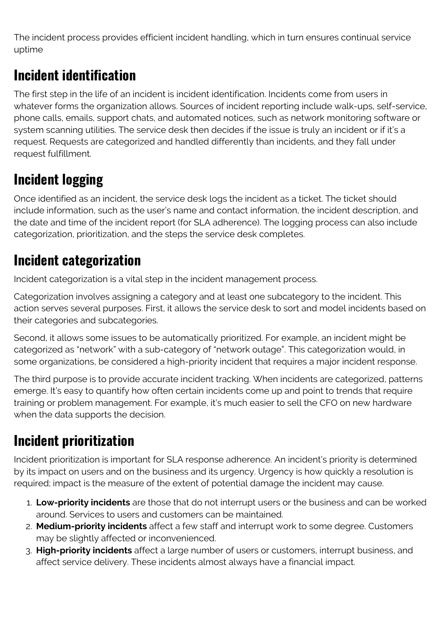The incident process provides efficient incident handling, which in turn ensures continual service uptime

#### **Incident identification**

The first step in the life of an incident is incident identification. Incidents come from users in whatever forms the organization allows. Sources of incident reporting include walk-ups, self-service, phone calls, emails, support chats, and automated notices, such as network monitoring software or system scanning utilities. The service desk then decides if the issue is truly an incident or if it's a request. Requests are categorized and handled differently than incidents, and they fall under request fulfillment.

# **Incident logging**

Once identified as an incident, the service desk logs the incident as a ticket. The ticket should include information, such as the user's name and contact information, the incident description, and the date and time of the incident report (for SLA adherence). The logging process can also include categorization, prioritization, and the steps the service desk completes.

#### **Incident categorization**

Incident categorization is a vital step in the incident management process.

Categorization involves assigning a category and at least one subcategory to the incident. This action serves several purposes. First, it allows the service desk to sort and model incidents based on their categories and subcategories.

Second, it allows some issues to be automatically prioritized. For example, an incident might be categorized as "network" with a sub-category of "network outage". This categorization would, in some organizations, be considered a high-priority incident that requires a major incident response.

The third purpose is to provide accurate incident tracking. When incidents are categorized, patterns emerge. It's easy to quantify how often certain incidents come up and point to trends that require training or problem management. For example, it's much easier to sell the CFO on new hardware when the data supports the decision.

## **Incident prioritization**

Incident prioritization is important for SLA response adherence. An incident's priority is determined by its impact on users and on the business and its urgency. Urgency is how quickly a resolution is required; impact is the measure of the extent of potential damage the incident may cause.

- 1. **Low-priority incidents** are those that do not interrupt users or the business and can be worked around. Services to users and customers can be maintained.
- 2. **Medium-priority incidents** affect a few staff and interrupt work to some degree. Customers may be slightly affected or inconvenienced.
- 3. **High-priority incidents** affect a large number of users or customers, interrupt business, and affect service delivery. These incidents almost always have a financial impact.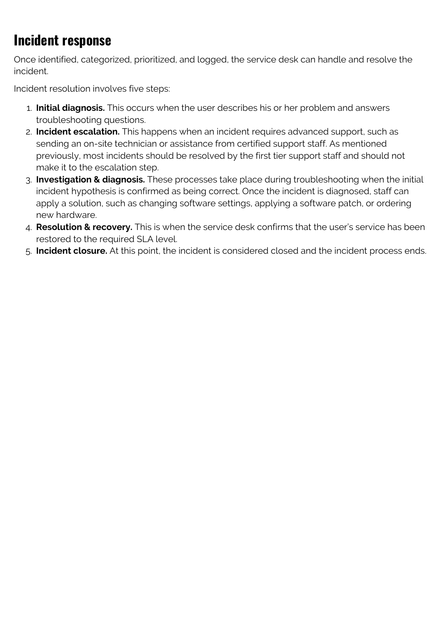### **Incident response**

Once identified, categorized, prioritized, and logged, the service desk can handle and resolve the incident.

Incident resolution involves five steps:

- 1. **Initial diagnosis.** This occurs when the user describes his or her problem and answers troubleshooting questions.
- 2. **Incident escalation.** This happens when an incident requires advanced support, such as sending an on-site technician or assistance from certified support staff. As mentioned previously, most incidents should be resolved by the first tier support staff and should not make it to the escalation step.
- 3. **Investigation & diagnosis.** These processes take place during troubleshooting when the initial incident hypothesis is confirmed as being correct. Once the incident is diagnosed, staff can apply a solution, such as changing software settings, applying a software patch, or ordering new hardware.
- 4. **Resolution & recovery.** This is when the service desk confirms that the user's service has been restored to the required SLA level.
- 5. **Incident closure.** At this point, the incident is considered closed and the incident process ends.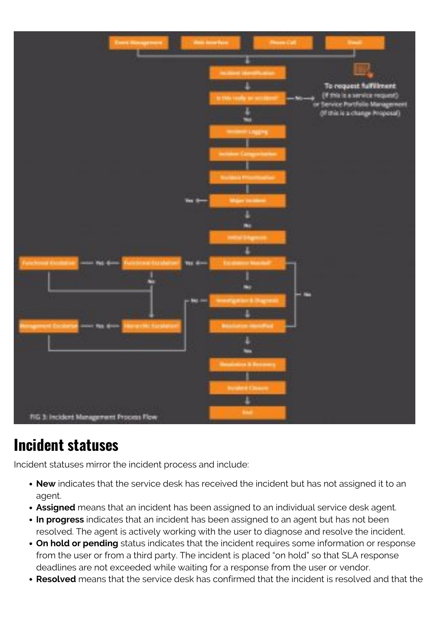

#### **Incident statuses**

Incident statuses mirror the incident process and include:

- **New** indicates that the service desk has received the incident but has not assigned it to an agent.
- **Assigned** means that an incident has been assigned to an individual service desk agent.
- **In progress** indicates that an incident has been assigned to an agent but has not been resolved. The agent is actively working with the user to diagnose and resolve the incident.
- **On hold or pending** status indicates that the incident requires some information or response from the user or from a third party. The incident is placed "on hold" so that SLA response deadlines are not exceeded while waiting for a response from the user or vendor.
- **Resolved** means that the service desk has confirmed that the incident is resolved and that the